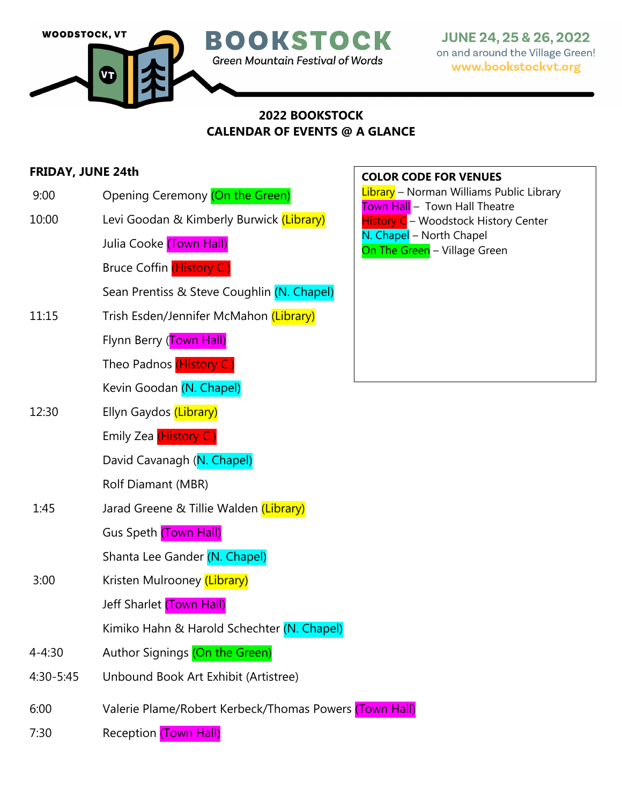

# **2022 BOOKSTOCK CALENDAR OF EVENTS @ A GLANCE**

# **FRIDAY, JUNE 24th**

- 9:00 Opening Ceremony (On the Green)
- 10:00 Levi Goodan & Kimberly Burwick (Library)

Julia Cooke (Town Hall)

Bruce Coffin (History C.)

Sean Prentiss & Steve Coughlin (N. Chapel)

- 11:15 Trish Esden/Jennifer McMahon (Library)
	- Flynn Berry (Town Hall)

Theo Padnos (History C.)

Kevin Goodan (N. Chapel)

12:30 Ellyn Gaydos (Library)

Emily Zea (History C.)

David Cavanagh (N. Chapel)

Rolf Diamant (MBR)

1:45 Jarad Greene & Tillie Walden (Library)

Gus Speth (Town Hall)

Shanta Lee Gander (N. Chapel)

3:00 Kristen Mulrooney (Library)

Jeff Sharlet (Town Hall)

Kimiko Hahn & Harold Schechter (N. Chapel)

- 4-4:30 Author Signings (On the Green)
- 4:30-5:45 Unbound Book Art Exhibit (Artistree)
- 6:00 Valerie Plame/Robert Kerbeck/Thomas Powers (Town Hall)
- 7:30 Reception (Town Hall)

### **COLOR CODE FOR VENUES**

Library – Norman Williams Public Library Town Hall - Town Hall Theatre **History C** – Woodstock History Center N. Chapel - North Chapel On The Green - Village Green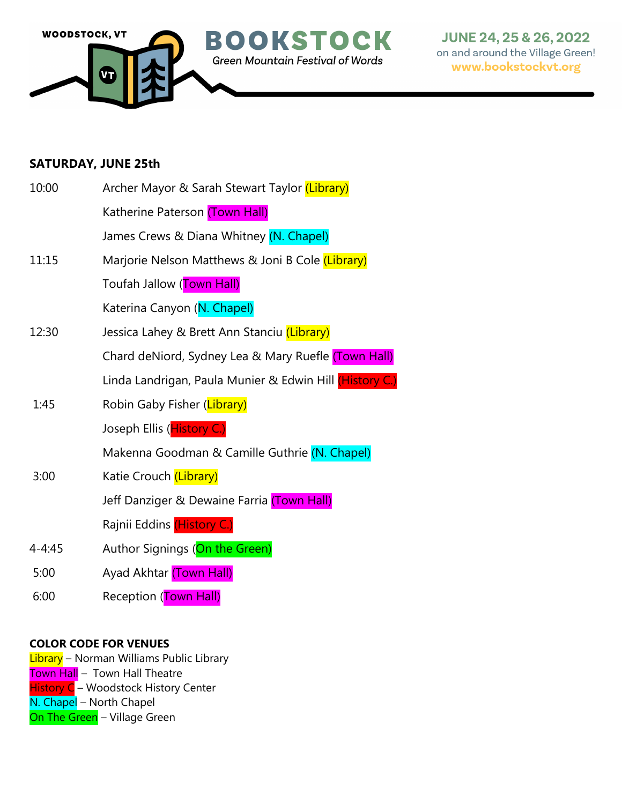

## **SATURDAY, JUNE 25th**

| 10:00      | Archer Mayor & Sarah Stewart Taylor (Library)           |
|------------|---------------------------------------------------------|
|            | Katherine Paterson (Town Hall)                          |
|            | James Crews & Diana Whitney (N. Chapel)                 |
| 11:15      | Marjorie Nelson Matthews & Joni B Cole (Library)        |
|            | Toufah Jallow (Town Hall)                               |
|            | Katerina Canyon (N. Chapel)                             |
| 12:30      | Jessica Lahey & Brett Ann Stanciu (Library)             |
|            | Chard deNiord, Sydney Lea & Mary Ruefle (Town Hall)     |
|            | Linda Landrigan, Paula Munier & Edwin Hill (History C.) |
| 1:45       | Robin Gaby Fisher (Library)                             |
|            | Joseph Ellis (History C.)                               |
|            | Makenna Goodman & Camille Guthrie (N. Chapel)           |
| 3:00       | Katie Crouch (Library)                                  |
|            | Jeff Danziger & Dewaine Farria (Town Hall)              |
|            | Rajnii Eddins (History C.)                              |
| $4 - 4:45$ | Author Signings (On the Green)                          |
| 5:00       | Ayad Akhtar (Town Hall)                                 |
| 6:00       | Reception (Town Hall)                                   |

## **COLOR CODE FOR VENUES**

<mark>Library</mark> – Norman Williams Public Library <mark>Town Hall</mark> – Town Hall Theatre History C - Woodstock History Center N. Chapel - North Chapel On The Green - Village Green